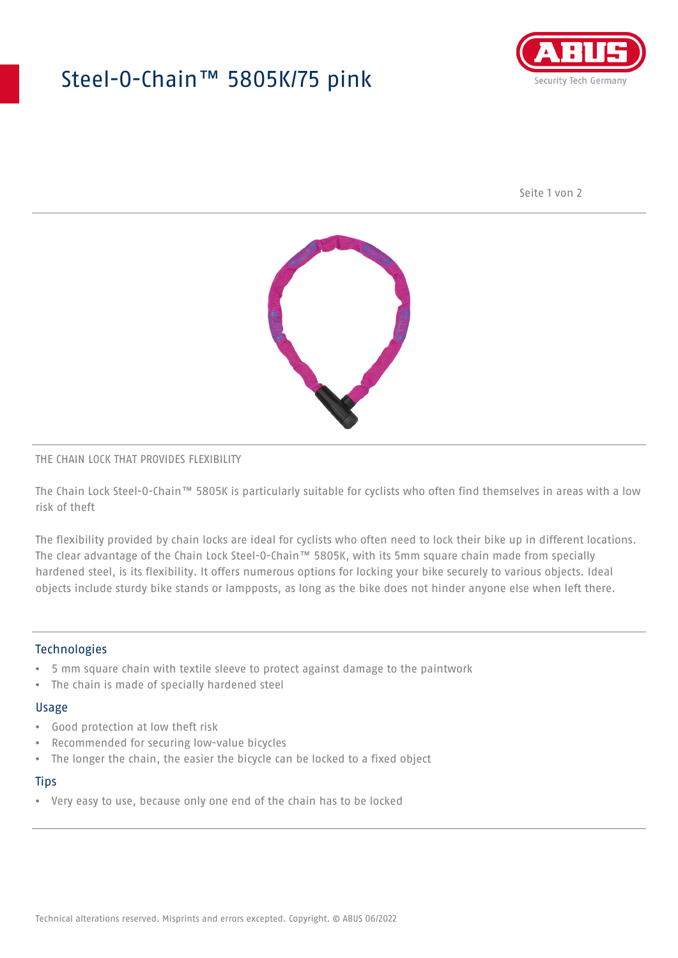## Steel-O-Chain™ 5805K/75 pink



Seite 1 von 2



#### THE CHAIN LOCK THAT PROVIDES FLEXIBILITY

The Chain Lock Steel-O-Chain™ 5805K is particularly suitable for cyclists who often find themselves in areas with a low risk of theft

The flexibility provided by chain locks are ideal for cyclists who often need to lock their bike up in different locations. The clear advantage of the Chain Lock Steel-O-Chain™ 5805K, with its 5mm square chain made from specially hardened steel, is its flexibility. It offers numerous options for locking your bike securely to various objects. Ideal objects include sturdy bike stands or lampposts, as long as the bike does not hinder anyone else when left there.

#### Technologies

- 5 mm square chain with textile sleeve to protect against damage to the paintwork
- The chain is made of specially hardened steel

#### Usage

- Good protection at low theft risk
- Recommended for securing low-value bicycles
- The longer the chain, the easier the bicycle can be locked to a fixed object

#### **Tips**

• Very easy to use, because only one end of the chain has to be locked